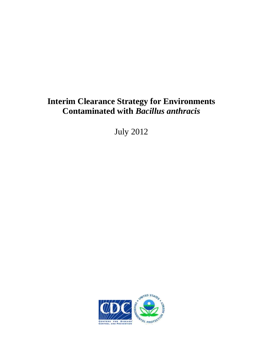# **Interim Clearance Strategy for Environments Contaminated with** *Bacillus anthracis*

July 2012

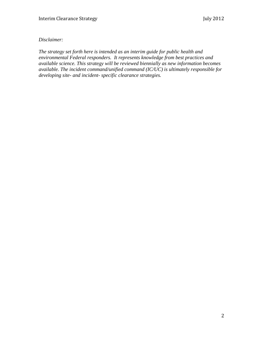# *Disclaimer:*

*The strategy set forth here is intended as an interim guide for public health and environmental Federal responders. It represents knowledge from best practices and available science. This strategy will be reviewed biennially as new information becomes available. The incident command/unified command (IC/UC) is ultimately responsible for developing site- and incident- specific clearance strategies.*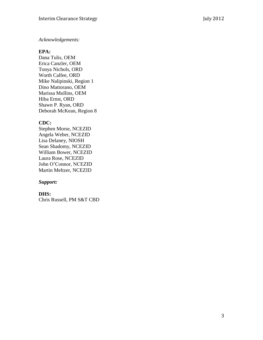#### *Acknowledgements:*

#### **EPA:**

Dana Tulis, OEM Erica Canzler, OEM Tonya Nichols, ORD Worth Calfee, ORD Mike Nalipinski, Region 1 Dino Mattorano, OEM Marissa Mullins, OEM Hiba Ernst, ORD Shawn P. Ryan, ORD Deborah McKean, Region 8

#### **CDC:**

Stephen Morse, NCEZID Angela Weber, NCEZID Lisa Delaney, NIOSH Sean Shadomy, NCEZID William Bower, NCEZID Laura Rose, NCEZID John O'Connor, NCEZID Martin Meltzer, NCEZID

#### *Support:*

#### **DHS:**

Chris Russell, PM S&T CBD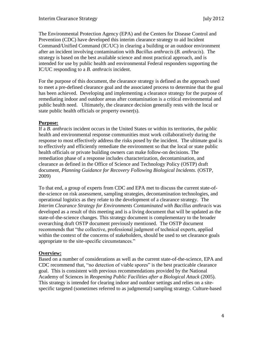The Environmental Protection Agency (EPA) and the Centers for Disease Control and Prevention (CDC) have developed this interim clearance strategy to aid Incident Command/Unified Command (IC/UC) in clearing a building or an outdoor environment after an incident involving contamination with *Bacillus anthracis* (*B. anthracis*). The strategy is based on the best available science and most practical approach, and is intended for use by public health and environmental Federal responders supporting the IC/UC responding to a *B. anthracis* incident.

For the purpose of this document, the clearance strategy is defined as the approach used to meet a pre-defined clearance goal and the associated process to determine that the goal has been achieved. Developing and implementing a clearance strategy for the purpose of remediating indoor and outdoor areas after contamination is a critical environmental and public health need. Ultimately, the clearance decision generally rests with the local or state public health officials or property owner(s).

#### **Purpose:**

If a *B. anthracis* incident occurs in the United States or within its territories, the public health and environmental response communities must work collaboratively during the response to most effectively address the risks posed by the incident. The ultimate goal is to effectively and efficiently remediate the environment so that the local or state public health officials or private building owners can make follow-on decisions. The remediation phase of a response includes characterization, decontamination, and clearance as defined in the Office of Science and Technology Policy (OSTP) draft document, *Planning Guidance for Recovery Following Biological Incidents*. (OSTP, 2009)

To that end, a group of experts from CDC and EPA met to discuss the current state-ofthe-science on risk assessment, sampling strategies, decontamination technologies, and operational logistics as they relate to the development of a clearance strategy. The *Interim Clearance Strategy for Environments Contaminated with Bacillus anthracis* was developed as a result of this meeting and is a living document that will be updated as the state-of-the-science changes. This strategy document is complementary to the broader overarching draft OSTP document previously mentioned. The OSTP document recommends that "the collective, professional judgment of technical experts, applied within the context of the concerns of stakeholders, should be used to set clearance goals appropriate to the site-specific circumstances."

# **Overview:**

Based on a number of considerations as well as the current state-of-the-science, EPA and CDC recommend that, "no detection of viable spores" is the best practicable clearance goal. This is consistent with previous recommendations provided by the National Academy of Sciences in *Reopening Public Facilities after a Biological Attack* (2005). This strategy is intended for clearing indoor and outdoor settings and relies on a sitespecific targeted (sometimes referred to as judgmental) sampling strategy. Culture-based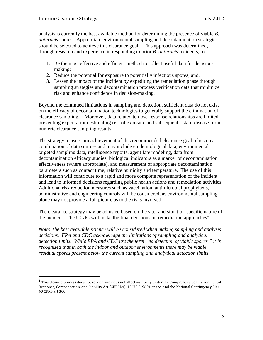$\overline{a}$ 

analysis is currently the best available method for determining the presence of viable *B. anthracis* spores. Appropriate environmental sampling and decontamination strategies should be selected to achieve this clearance goal. This approach was determined, through research and experience in responding to prior *B. anthracis* incidents, to:

- 1. Be the most effective and efficient method to collect useful data for decisionmaking;
- 2. Reduce the potential for exposure to potentially infectious spores; and,
- 3. Lessen the impact of the incident by expediting the remediation phase through sampling strategies and decontamination process verification data that minimize risk and enhance confidence in decision-making.

Beyond the continued limitations in sampling and detection, sufficient data do not exist on the efficacy of decontamination technologies to generally support the elimination of clearance sampling. Moreover, data related to dose-response relationships are limited, preventing experts from estimating risk of exposure and subsequent risk of disease from numeric clearance sampling results.

The strategy to ascertain achievement of this recommended clearance goal relies on a combination of data sources and may include epidemiological data, environmental targeted sampling data, intelligence reports, agent fate modeling, data from decontamination efficacy studies, biological indicators as a marker of decontamination effectiveness (where appropriate), and measurement of appropriate decontamination parameters such as contact time, relative humidity and temperature. The use of this information will contribute to a rapid and more complete representation of the incident and lead to informed decisions regarding public health actions and remediation activities. Additional risk reduction measures such as vaccination, antimicrobial prophylaxis, administrative and engineering controls will be considered, as environmental sampling alone may not provide a full picture as to the risks involved.

The clearance strategy may be adjusted based on the site- and situation-specific nature of the incident. The UC/IC will make the final decisions on remediation approaches<sup>1</sup>.

*Note: The best available science will be considered when making sampling and analysis decisions. EPA and CDC acknowledge the limitations of sampling and analytical detection limits. While EPA and CDC use the term "no detection of viable spores," it is recognized that in both the indoor and outdoor environments there may be viable residual spores present below the current sampling and analytical detection limits.* 

 $<sup>1</sup>$  This cleanup process does not rely on and does not affect authority under the Comprehensive Environmental</sup> Response, Compensation, and Liability Act (CERCLA), 42 U.S.C. 9601 et seq. and the National Contingency Plan, 40 CFR Part 300.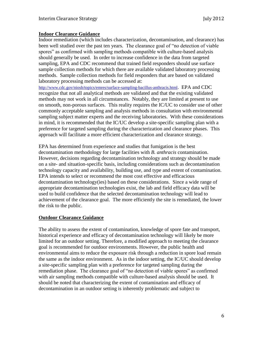### **Indoor Clearance Guidance**

Indoor remediation (which includes characterization, decontamination, and clearance) has been well studied over the past ten years. The clearance goal of "no detection of viable spores" as confirmed with sampling methods compatible with culture-based analysis should generally be used. In order to increase confidence in the data from targeted sampling, EPA and CDC recommend that trained field responders should use surface sample collection methods for which there are available validated laboratory processing methods. Sample collection methods for field responders that are based on validated laboratory processing methods can be accessed at:

<http://www.cdc.gov/niosh/topics/emres/surface-sampling-bacillus-anthracis.html>. EPA and CDC recognize that not all analytical methods are validated and that the existing validated methods may not work in all circumstances. Notably, they are limited at present to use on smooth, non-porous surfaces. This reality requires the IC/UC to consider use of other commonly acceptable sampling and analysis methods in consultation with environmental sampling subject matter experts and the receiving laboratories. With these considerations in mind, it is recommended that the IC/UC develop a site-specific sampling plan with a preference for targeted sampling during the characterization and clearance phases. This approach will facilitate a more efficient characterization and clearance strategy.

EPA has determined from experience and studies that fumigation is the best decontamination methodology for large facilities with *B. anthracis* contamination. However, decisions regarding decontamination technology and strategy should be made on a site- and situation-specific basis, including considerations such as decontamination technology capacity and availability, building use, and type and extent of contamination. EPA intends to select or recommend the most cost effective and efficacious decontamination technology(ies) based on these considerations. Since a wide range of appropriate decontamination technologies exist, the lab and field efficacy data will be used to build confidence that the selected decontamination technology will lead to achievement of the clearance goal. The more efficiently the site is remediated, the lower the risk to the public.

# **Outdoor Clearance Guidance**

The ability to assess the extent of contamination, knowledge of spore fate and transport, historical experience and efficacy of decontamination technology will likely be more limited for an outdoor setting. Therefore, a modified approach to meeting the clearance goal is recommended for outdoor environments. However, the public health and environmental aims to reduce the exposure risk through a reduction in spore load remain the same as the indoor environment. As in the indoor setting, the IC/UC should develop a site-specific sampling plan with a preference for targeted sampling during the remediation phase. The clearance goal of "no detection of viable spores" as confirmed with air sampling methods compatible with culture-based analysis should be used. It should be noted that characterizing the extent of contamination and efficacy of decontamination in an outdoor setting is inherently problematic and subject to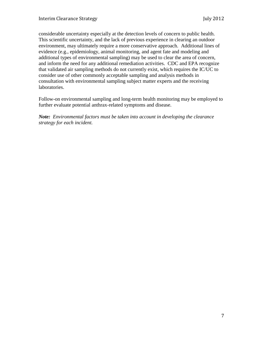considerable uncertainty especially at the detection levels of concern to public health. This scientific uncertainty, and the lack of previous experience in clearing an outdoor environment, may ultimately require a more conservative approach. Additional lines of evidence (e.g., epidemiology, animal monitoring, and agent fate and modeling and additional types of environmental sampling) may be used to clear the area of concern, and inform the need for any additional remediation activities. CDC and EPA recognize that validated air sampling methods do not currently exist, which requires the IC/UC to consider use of other commonly acceptable sampling and analysis methods in consultation with environmental sampling subject matter experts and the receiving laboratories.

Follow-on environmental sampling and long-term health monitoring may be employed to further evaluate potential anthrax-related symptoms and disease.

*Note: Environmental factors must be taken into account in developing the clearance strategy for each incident.*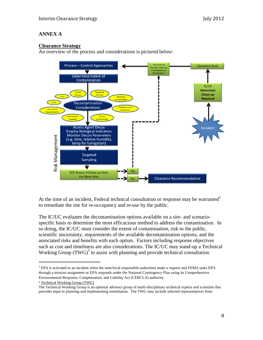# **ANNEX A**

# **Clearance Strategy**

An overview of the process and considerations is pictured below:



At the time of an incident, Federal technical consultation or response may be warranted<sup>2</sup> to remediate the site for re-occupancy and re-use by the public.

The IC/UC evaluates the decontamination options available on a site- and scenariospecific basis to determine the most efficacious method to address the contamination. In so doing, the IC/UC must consider the extent of contamination, risk to the public, scientific uncertainty, requirements of the available decontamination options, and the associated risks and benefits with each option. Factors including response objectives such as cost and timeliness are also considerations. The IC/UC may stand-up a Technical Working Group  $(TWG)^3$  to assist with planning and provide technical consultation

<sup>3</sup> Technical Working Group (TWG)

l

 $<sup>2</sup>$  EPA is activated to an incident when the state/local responsible authorities make a request and FEMA tasks EPA</sup> through a mission assignment or EPA responds under the National Contingency Plan using its Comprehensive Environmental Response, Compensation, and Liability Act (CERCLA) authority.

The Technical Working Group is an optional advisory group of multi-disciplinary technical experts and scientists that provides input to planning and implementing remediation. The TWG may include selected representatives from